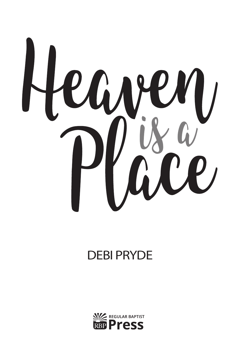

# DEBI PRYDE

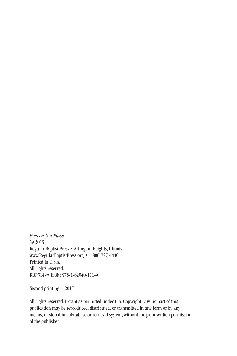*Heaven Is a Place* © 2015 Regular Baptist Press • Arlington Heights, Illinois www.RegularBaptistPress.org • 1-800-727-4440 Printed in U.S.A. All rights reserved. RBP5149• ISBN: 978-1-62940-111-9

Second printing—2017

All rights reserved. Except as permitted under U.S. Copyright Law, no part of this publication may be reproduced, distributed, or transmitted in any form or by any means, or stored in a database or retrieval system, without the prior written permission of the publisher.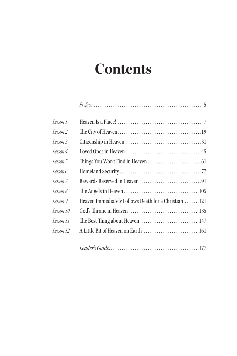# **Contents**

| Lesson 1  |                                                       |
|-----------|-------------------------------------------------------|
| Lesson 2  |                                                       |
| Lesson 3  |                                                       |
| Lesson 4  |                                                       |
| Lesson 5  |                                                       |
| Lesson 6  |                                                       |
| Lesson 7  |                                                       |
| Lesson 8  |                                                       |
| Lesson 9  | Heaven Immediately Follows Death for a Christian  121 |
| Lesson 10 |                                                       |
| Lesson 11 |                                                       |
| Lesson 12 | A Little Bit of Heaven on Earth  161                  |
|           |                                                       |

|--|--|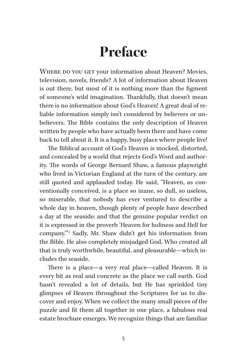# **Preface**

WHERE DO YOU GET your information about Heaven? Movies, television, novels, friends? A lot of information about Heaven is out there, but most of it is nothing more than the figment of someone's wild imagination. Thankfully, that doesn't mean there is no information about God's Heaven! A great deal of reliable information simply isn't considered by believers or unbelievers. The Bible contains the only description of Heaven written by people who have actually been there and have come back to tell about it. It is a happy, busy place where people live!

The Biblical account of God's Heaven is mocked, distorted, and concealed by a world that rejects God's Word and authority. The words of George Bernard Shaw, a famous playwright who lived in Victorian England at the turn of the century, are still quoted and applauded today. He said, "Heaven, as conventionally conceived, is a place so inane, so dull, so useless, so miserable, that nobody has ever ventured to describe a whole day in heaven, though plenty of people have described a day at the seaside; and that the genuine popular verdict on it is expressed in the proverb 'Heaven for holiness and Hell for company.'"1 Sadly, Mr. Shaw didn't get his information from the Bible. He also completely misjudged God, Who created all that is truly worthwhile, beautiful, and pleasurable—which includes the seaside.

There is a place—a very real place—called Heaven. It is every bit as real and concrete as the place we call earth. God hasn't revealed a lot of details, but He has sprinkled tiny glimpses of Heaven throughout the Scriptures for us to discover and enjoy. When we collect the many small pieces of the puzzle and fit them all together in one place, a fabulous real estate brochure emerges. We recognize things that are familiar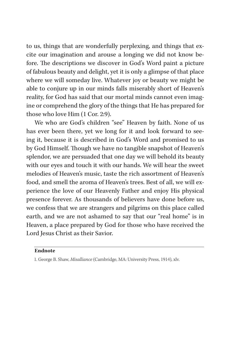to us, things that are wonderfully perplexing, and things that excite our imagination and arouse a longing we did not know before. The descriptions we discover in God's Word paint a picture of fabulous beauty and delight, yet it is only a glimpse of that place where we will someday live. Whatever joy or beauty we might be able to conjure up in our minds falls miserably short of Heaven's reality, for God has said that our mortal minds cannot even imagine or comprehend the glory of the things that He has prepared for those who love Him (1 Cor. 2:9).

We who are God's children "see" Heaven by faith. None of us has ever been there, yet we long for it and look forward to seeing it, because it is described in God's Word and promised to us by God Himself. Though we have no tangible snapshot of Heaven's splendor, we are persuaded that one day we will behold its beauty with our eyes and touch it with our hands. We will hear the sweet melodies of Heaven's music, taste the rich assortment of Heaven's food, and smell the aroma of Heaven's trees. Best of all, we will experience the love of our Heavenly Father and enjoy His physical presence forever. As thousands of believers have done before us, we confess that we are strangers and pilgrims on this place called earth, and we are not ashamed to say that our "real home" is in Heaven, a place prepared by God for those who have received the Lord Jesus Christ as their Savior.

## **Endnote**

<sup>1.</sup> George B. Shaw, *Misalliance* (Cambridge, MA: University Press, 1914), xlv.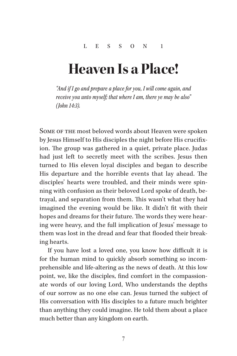# **Heaven Is a Place!**

*"And if I go and prepare a place for you, I will come again, and receive you unto myself; that where I am, there ye may be also" (John 14:3).*

SOME OF THE most beloved words about Heaven were spoken by Jesus Himself to His disciples the night before His crucifixion. The group was gathered in a quiet, private place. Judas had just left to secretly meet with the scribes. Jesus then turned to His eleven loyal disciples and began to describe His departure and the horrible events that lay ahead. The disciples' hearts were troubled, and their minds were spinning with confusion as their beloved Lord spoke of death, betrayal, and separation from them. This wasn't what they had imagined the evening would be like. It didn't fit with their hopes and dreams for their future. The words they were hearing were heavy, and the full implication of Jesus' message to them was lost in the dread and fear that flooded their breaking hearts.

If you have lost a loved one, you know how difficult it is for the human mind to quickly absorb something so incomprehensible and life-altering as the news of death. At this low point, we, like the disciples, find comfort in the compassionate words of our loving Lord, Who understands the depths of our sorrow as no one else can. Jesus turned the subject of His conversation with His disciples to a future much brighter than anything they could imagine. He told them about a place much better than any kingdom on earth.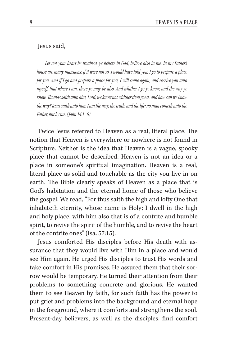#### Jesus said,

*Let not your heart be troubled: ye believe in God, believe also in me. In my Father's house are many mansions: if it were not so, I would have told you. I go to prepare a place for you. And if I go and prepare a place for you, I will come again, and receive you unto myself; that where I am, there ye may be also. And whither I go ye know, and the way ye know. Thomas saith unto him, Lord, we know not whither thou goest; and how can we know the way? Jesus saith unto him, I am the way, the truth, and the life: no man cometh unto the Father, but by me. (John 14:1–6)*

Twice Jesus referred to Heaven as a real, literal place. The notion that Heaven is everywhere or nowhere is not found in Scripture. Neither is the idea that Heaven is a vague, spooky place that cannot be described. Heaven is not an idea or a place in someone's spiritual imagination. Heaven is a real, literal place as solid and touchable as the city you live in on earth. The Bible clearly speaks of Heaven as a place that is God's habitation and the eternal home of those who believe the gospel. We read, "For thus saith the high and lofty One that inhabiteth eternity, whose name is Holy; I dwell in the high and holy place, with him also that is of a contrite and humble spirit, to revive the spirit of the humble, and to revive the heart of the contrite ones" (Isa. 57:15).

Jesus comforted His disciples before His death with assurance that they would live with Him in a place and would see Him again. He urged His disciples to trust His words and take comfort in His promises. He assured them that their sorrow would be temporary. He turned their attention from their problems to something concrete and glorious. He wanted them to see Heaven by faith, for such faith has the power to put grief and problems into the background and eternal hope in the foreground, where it comforts and strengthens the soul. Present-day believers, as well as the disciples, find comfort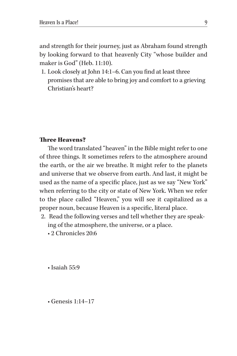and strength for their journey, just as Abraham found strength by looking forward to that heavenly City "whose builder and maker is God" (Heb. 11:10).

1. Look closely at John 14:1–6. Can you find at least three promises that are able to bring joy and comfort to a grieving Christian's heart?

# Three Heavens?

The word translated "heaven" in the Bible might refer to one of three things. It sometimes refers to the atmosphere around the earth, or the air we breathe. It might refer to the planets and universe that we observe from earth. And last, it might be used as the name of a specific place, just as we say "New York" when referring to the city or state of New York. When we refer to the place called "Heaven," you will see it capitalized as a proper noun, because Heaven is a specific, literal place.

- 2. Read the following verses and tell whether they are speaking of the atmosphere, the universe, or a place.
	- 2 Chronicles 20:6

• Isaiah 55:9

• Genesis 1:14–17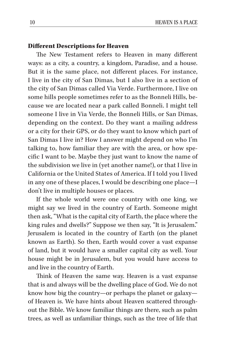## Different Descriptions for Heaven

The New Testament refers to Heaven in many different ways: as a city, a country, a kingdom, Paradise, and a house. But it is the same place, not different places. For instance, I live in the city of San Dimas, but I also live in a section of the city of San Dimas called Via Verde. Furthermore, I live on some hills people sometimes refer to as the Bonneli Hills, because we are located near a park called Bonneli. I might tell someone I live in Via Verde, the Bonneli Hills, or San Dimas, depending on the context. Do they want a mailing address or a city for their GPS, or do they want to know which part of San Dimas I live in? How I answer might depend on who I'm talking to, how familiar they are with the area, or how specific I want to be. Maybe they just want to know the name of the subdivision we live in (yet another name!), or that I live in California or the United States of America. If I told you I lived in any one of these places, I would be describing one place—I don't live in multiple houses or places.

If the whole world were one country with one king, we might say we lived in the country of Earth. Someone might then ask, "What is the capital city of Earth, the place where the king rules and dwells?" Suppose we then say, "It is Jerusalem." Jerusalem is located in the country of Earth (on the planet known as Earth). So then, Earth would cover a vast expanse of land, but it would have a smaller capital city as well. Your house might be in Jerusalem, but you would have access to and live in the country of Earth.

Think of Heaven the same way. Heaven is a vast expanse that is and always will be the dwelling place of God. We do not know how big the country—or perhaps the planet or galaxy of Heaven is. We have hints about Heaven scattered throughout the Bible. We know familiar things are there, such as palm trees, as well as unfamiliar things, such as the tree of life that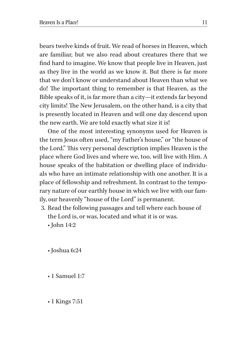bears twelve kinds of fruit. We read of horses in Heaven, which are familiar, but we also read about creatures there that we find hard to imagine. We know that people live in Heaven, just as they live in the world as we know it. But there is far more that we don't know or understand about Heaven than what we do! The important thing to remember is that Heaven, as the Bible speaks of it, is far more than a city—it extends far beyond city limits! The New Jerusalem, on the other hand, is a city that is presently located in Heaven and will one day descend upon the new earth. We are told exactly what size it is!

One of the most interesting synonyms used for Heaven is the term Jesus often used, "my Father's house," or "the house of the Lord." This very personal description implies Heaven is the place where God lives and where we, too, will live with Him. A house speaks of the habitation or dwelling place of individuals who have an intimate relationship with one another. It is a place of fellowship and refreshment. In contrast to the temporary nature of our earthly house in which we live with our family, our heavenly "house of the Lord" is permanent.

- 3. Read the following passages and tell where each house of the Lord is, or was, located and what it is or was.
	- John 14:2
	- Joshua 6:24
	- 1 Samuel 1:7
	- 1 Kings 7:51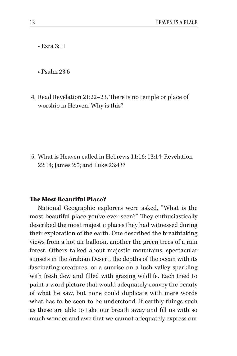• Ezra 3:11

• Psalm 23:6

4. Read Revelation 21:22–23. There is no temple or place of worship in Heaven. Why is this?

5. What is Heaven called in Hebrews 11:16; 13:14; Revelation 22:14; James 2:5; and Luke 23:43?

## The Most Beautiful Place?

National Geographic explorers were asked, "What is the most beautiful place you've ever seen?" They enthusiastically described the most majestic places they had witnessed during their exploration of the earth. One described the breathtaking views from a hot air balloon, another the green trees of a rain forest. Others talked about majestic mountains, spectacular sunsets in the Arabian Desert, the depths of the ocean with its fascinating creatures, or a sunrise on a lush valley sparkling with fresh dew and filled with grazing wildlife. Each tried to paint a word picture that would adequately convey the beauty of what he saw, but none could duplicate with mere words what has to be seen to be understood. If earthly things such as these are able to take our breath away and fill us with so much wonder and awe that we cannot adequately express our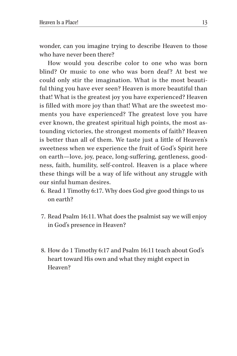wonder, can you imagine trying to describe Heaven to those who have never been there?

How would you describe color to one who was born blind? Or music to one who was born deaf? At best we could only stir the imagination. What is the most beautiful thing you have ever seen? Heaven is more beautiful than that! What is the greatest joy you have experienced? Heaven is filled with more joy than that! What are the sweetest moments you have experienced? The greatest love you have ever known, the greatest spiritual high points, the most astounding victories, the strongest moments of faith? Heaven is better than all of them. We taste just a little of Heaven's sweetness when we experience the fruit of God's Spirit here on earth—love, joy, peace, long-suffering, gentleness, goodness, faith, humility, self-control. Heaven is a place where these things will be a way of life without any struggle with our sinful human desires.

- 6. Read 1 Timothy 6:17. Why does God give good things to us on earth?
- 7. Read Psalm 16:11. What does the psalmist say we will enjoy in God's presence in Heaven?
- 8. How do 1 Timothy 6:17 and Psalm 16:11 teach about God's heart toward His own and what they might expect in Heaven?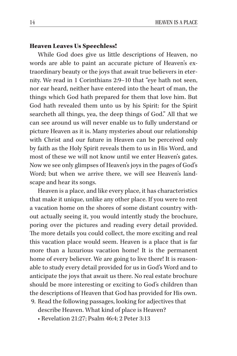## Heaven Leaves Us Speechless!

While God does give us little descriptions of Heaven, no words are able to paint an accurate picture of Heaven's extraordinary beauty or the joys that await true believers in eternity. We read in 1 Corinthians 2:9–10 that "eye hath not seen, nor ear heard, neither have entered into the heart of man, the things which God hath prepared for them that love him. But God hath revealed them unto us by his Spirit: for the Spirit searcheth all things, yea, the deep things of God." All that we can see around us will never enable us to fully understand or picture Heaven as it is. Many mysteries about our relationship with Christ and our future in Heaven can be perceived only by faith as the Holy Spirit reveals them to us in His Word, and most of these we will not know until we enter Heaven's gates. Now we see only glimpses of Heaven's joys in the pages of God's Word; but when we arrive there, we will see Heaven's landscape and hear its songs.

Heaven is a place, and like every place, it has characteristics that make it unique, unlike any other place. If you were to rent a vacation home on the shores of some distant country without actually seeing it, you would intently study the brochure, poring over the pictures and reading every detail provided. The more details you could collect, the more exciting and real this vacation place would seem. Heaven is a place that is far more than a luxurious vacation home! It is the permanent home of every believer. We are going to live there! It is reasonable to study every detail provided for us in God's Word and to anticipate the joys that await us there. No real estate brochure should be more interesting or exciting to God's children than the descriptions of Heaven that God has provided for His own.

- 9. Read the following passages, looking for adjectives that describe Heaven. What kind of place is Heaven?
	- Revelation 21:27; Psalm 46:4; 2 Peter 3:13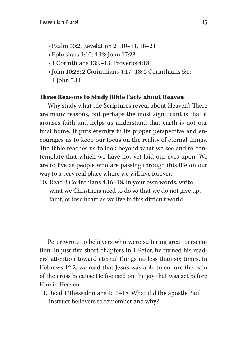- Psalm 50:2; Revelation 21:10–11, 18–21
- Ephesians 1:10; 4:13; John 17:23
- 1 Corinthians 13:9–13; Proverbs 4:18
- John 10:28; 2 Corinthians 4:17–18; 2 Corinthians 5:1; 1 John 5:11

#### Three Reasons to Study Bible Facts about Heaven

Why study what the Scriptures reveal about Heaven? There are many reasons, but perhaps the most significant is that it arouses faith and helps us understand that earth is not our final home. It puts eternity in its proper perspective and encourages us to keep our focus on the reality of eternal things. The Bible teaches us to look beyond what we see and to contemplate that which we have not yet laid our eyes upon. We are to live as people who are passing through this life on our way to a very real place where we will live forever.

10. Read 2 Corinthians 4:16–18. In your own words, write what we Christians need to do so that we do not give up, faint, or lose heart as we live in this difficult world.

Peter wrote to believers who were suffering great persecution. In just five short chapters in 1 Peter, he turned his readers' attention toward eternal things no less than six times. In Hebrews 12:2, we read that Jesus was able to endure the pain of the cross because He focused on the joy that was set before Him in Heaven.

11. Read 1 Thessalonians 4:17–18. What did the apostle Paul instruct believers to remember and why?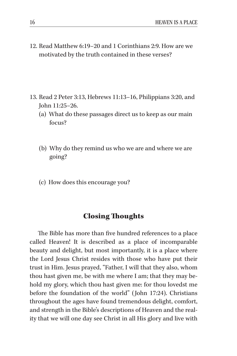12. Read Matthew 6:19–20 and 1 Corinthians 2:9. How are we motivated by the truth contained in these verses?

- 13. Read 2 Peter 3:13, Hebrews 11:13–16, Philippians 3:20, and John 11:25–26.
	- (a) What do these passages direct us to keep as our main focus?
	- (b) Why do they remind us who we are and where we are going?
	- (c) How does this encourage you?

# Closing Thoughts

The Bible has more than five hundred references to a place called Heaven! It is described as a place of incomparable beauty and delight, but most importantly, it is a place where the Lord Jesus Christ resides with those who have put their trust in Him. Jesus prayed, "Father, I will that they also, whom thou hast given me, be with me where I am; that they may behold my glory, which thou hast given me: for thou lovedst me before the foundation of the world" (John 17:24). Christians throughout the ages have found tremendous delight, comfort, and strength in the Bible's descriptions of Heaven and the reality that we will one day see Christ in all His glory and live with